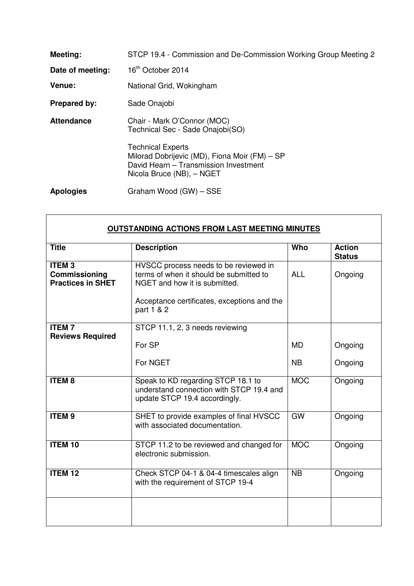| Meeting:          | STCP 19.4 - Commission and De-Commission Working Group Meeting 2                                                                                |
|-------------------|-------------------------------------------------------------------------------------------------------------------------------------------------|
| Date of meeting:  | 16 <sup>th</sup> October 2014                                                                                                                   |
| Venue:            | National Grid, Wokingham                                                                                                                        |
| Prepared by:      | Sade Onajobi                                                                                                                                    |
| <b>Attendance</b> | Chair - Mark O'Connor (MOC)<br>Technical Sec - Sade Onajobi(SO)                                                                                 |
|                   | <b>Technical Experts</b><br>Milorad Dobrijevic (MD), Fiona Moir (FM) - SP<br>David Hearn - Transmission Investment<br>Nicola Bruce (NB), - NGET |
| <b>Apologies</b>  | Graham Wood (GW) - SSE                                                                                                                          |

| <b>OUTSTANDING ACTIONS FROM LAST MEETING MINUTES</b>      |                                                                                                                                                                                |            |                                |  |  |
|-----------------------------------------------------------|--------------------------------------------------------------------------------------------------------------------------------------------------------------------------------|------------|--------------------------------|--|--|
| <b>Title</b>                                              | <b>Description</b>                                                                                                                                                             | Who        | <b>Action</b><br><b>Status</b> |  |  |
| <b>ITEM3</b><br>Commissioning<br><b>Practices in SHET</b> | HVSCC process needs to be reviewed in<br>terms of when it should be submitted to<br>NGET and how it is submitted.<br>Acceptance certificates, exceptions and the<br>part 1 & 2 | <b>ALL</b> | Ongoing                        |  |  |
| <b>ITEM7</b><br><b>Reviews Required</b>                   | STCP 11.1, 2, 3 needs reviewing                                                                                                                                                |            |                                |  |  |
|                                                           | For SP                                                                                                                                                                         | <b>MD</b>  | Ongoing                        |  |  |
|                                                           | For NGET                                                                                                                                                                       | <b>NB</b>  | Ongoing                        |  |  |
| <b>ITEM8</b>                                              | Speak to KD regarding STCP 18.1 to<br>understand connection with STCP 19.4 and<br>update STCP 19.4 accordingly.                                                                | <b>MOC</b> | Ongoing                        |  |  |
| <b>ITEM9</b>                                              | SHET to provide examples of final HVSCC<br>with associated documentation.                                                                                                      | GW         | Ongoing                        |  |  |
| <b>ITEM 10</b>                                            | STCP 11.2 to be reviewed and changed for<br>electronic submission.                                                                                                             | <b>MOC</b> | Ongoing                        |  |  |
| <b>ITEM 12</b>                                            | Check STCP 04-1 & 04-4 timescales align<br>with the requirement of STCP 19-4                                                                                                   | <b>NB</b>  | Ongoing                        |  |  |
|                                                           |                                                                                                                                                                                |            |                                |  |  |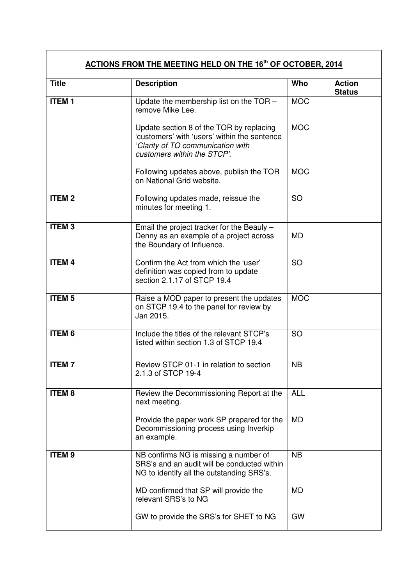| <u>ACTIONS FROM THE MEETING HELD ON THE 16th OF OCTOBER, 2014</u> |                                                                                                                                                              |            |                                |  |  |
|-------------------------------------------------------------------|--------------------------------------------------------------------------------------------------------------------------------------------------------------|------------|--------------------------------|--|--|
| <b>Title</b>                                                      | <b>Description</b>                                                                                                                                           | Who        | <b>Action</b><br><b>Status</b> |  |  |
| <b>ITEM1</b>                                                      | Update the membership list on the TOR -<br>remove Mike Lee.                                                                                                  | <b>MOC</b> |                                |  |  |
|                                                                   | Update section 8 of the TOR by replacing<br>'customers' with 'users' within the sentence<br>'Clarity of TO communication with<br>customers within the STCP'. | <b>MOC</b> |                                |  |  |
|                                                                   | Following updates above, publish the TOR<br>on National Grid website.                                                                                        | <b>MOC</b> |                                |  |  |
| <b>ITEM2</b>                                                      | Following updates made, reissue the<br>minutes for meeting 1.                                                                                                | <b>SO</b>  |                                |  |  |
| <b>ITEM3</b>                                                      | Email the project tracker for the Beauly -<br>Denny as an example of a project across<br>the Boundary of Influence.                                          | <b>MD</b>  |                                |  |  |
| <b>ITEM4</b>                                                      | Confirm the Act from which the 'user'<br>definition was copied from to update<br>section 2.1.17 of STCP 19.4                                                 | <b>SO</b>  |                                |  |  |
| <b>ITEM<sub>5</sub></b>                                           | Raise a MOD paper to present the updates<br>on STCP 19.4 to the panel for review by<br>Jan 2015.                                                             | <b>MOC</b> |                                |  |  |
| <b>ITEM 6</b>                                                     | Include the titles of the relevant STCP's<br>listed within section 1.3 of STCP 19.4                                                                          | <b>SO</b>  |                                |  |  |
| <b>ITEM7</b>                                                      | Review STCP 01-1 in relation to section<br>2.1.3 of STCP 19-4                                                                                                | <b>NB</b>  |                                |  |  |
| <b>ITEM8</b>                                                      | Review the Decommissioning Report at the<br>next meeting.                                                                                                    | <b>ALL</b> |                                |  |  |
|                                                                   | Provide the paper work SP prepared for the<br>Decommissioning process using Inverkip<br>an example.                                                          | <b>MD</b>  |                                |  |  |
| <b>ITEM9</b>                                                      | NB confirms NG is missing a number of<br>SRS's and an audit will be conducted within<br>NG to identify all the outstanding SRS's.                            | <b>NB</b>  |                                |  |  |
|                                                                   | MD confirmed that SP will provide the<br>relevant SRS's to NG                                                                                                | <b>MD</b>  |                                |  |  |
|                                                                   | GW to provide the SRS's for SHET to NG                                                                                                                       | <b>GW</b>  |                                |  |  |

 $\overline{\mathbf{1}}$